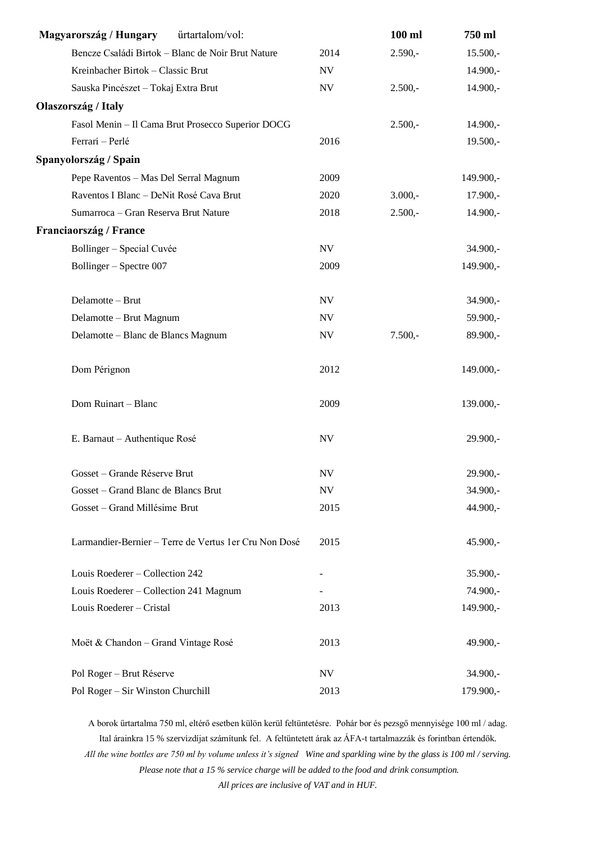| Magyarország / Hungary<br>űrtartalom/vol:              |                          | 100 ml    | 750 ml     |
|--------------------------------------------------------|--------------------------|-----------|------------|
| Bencze Családi Birtok - Blanc de Noir Brut Nature      | 2014                     | $2.590,-$ | $15.500,-$ |
| Kreinbacher Birtok - Classic Brut                      | <b>NV</b>                |           | $14.900,-$ |
| Sauska Pincészet – Tokaj Extra Brut                    | $\ensuremath{\text{NV}}$ | $2.500,-$ | $14.900,-$ |
| Olaszország / Italy                                    |                          |           |            |
| Fasol Menin - Il Cama Brut Prosecco Superior DOCG      |                          | $2.500,-$ | $14.900,-$ |
| Ferrari - Perlé                                        | 2016                     |           | $19.500,-$ |
| Spanyolország / Spain                                  |                          |           |            |
| Pepe Raventos - Mas Del Serral Magnum                  | 2009                     |           | 149.900,-  |
| Raventos I Blanc - DeNit Rosé Cava Brut                | 2020                     | $3.000,-$ | $17.900,-$ |
| Sumarroca - Gran Reserva Brut Nature                   | 2018                     | $2.500,-$ | $14.900,-$ |
| Franciaország / France                                 |                          |           |            |
| Bollinger - Special Cuvée                              | NV                       |           | 34.900,-   |
| Bollinger - Spectre 007                                | 2009                     |           | 149.900,-  |
| Delamotte - Brut                                       | $\ensuremath{\text{NV}}$ |           | $34.900,-$ |
| Delamotte - Brut Magnum                                | $\ensuremath{\text{NV}}$ |           | 59.900,-   |
| Delamotte - Blanc de Blancs Magnum                     | $\ensuremath{\text{NV}}$ | $7.500,-$ | 89.900,-   |
| Dom Pérignon                                           | 2012                     |           | 149.000,-  |
| Dom Ruinart - Blanc                                    | 2009                     |           | 139.000,-  |
| E. Barnaut - Authentique Rosé                          | <b>NV</b>                |           | $29.900,-$ |
| Gosset – Grande Réserve Brut                           | NV                       |           | 29.900,-   |
| Gosset – Grand Blanc de Blancs Brut                    | NV                       |           | $34.900,-$ |
| Gosset - Grand Millésime Brut                          | 2015                     |           | 44.900,-   |
| Larmandier-Bernier - Terre de Vertus 1 er Cru Non Dosé | 2015                     |           | $45.900,-$ |
| Louis Roederer - Collection 242                        |                          |           | $35.900,-$ |
| Louis Roederer – Collection 241 Magnum                 |                          |           | 74.900,-   |
| Louis Roederer - Cristal                               | 2013                     |           | 149.900,-  |
| Moët & Chandon - Grand Vintage Rosé                    | 2013                     |           | 49.900,-   |
| Pol Roger - Brut Réserve                               | NV                       |           | $34.900,-$ |
| Pol Roger - Sir Winston Churchill                      | 2013                     |           | 179.900,-  |

A borok űrtartalma 750 ml, eltérő esetben külön kerül feltüntetésre. Pohár bor és pezsgő mennyisége 100 ml / adag. Ital árainkra 15 % szervizdíjat számítunk fel. A feltüntetett árak az ÁFA-t tartalmazzák és forintban értendők. *All the wine bottles are 750 ml by volume unless it's signed Wine and sparkling wine by the glass is 100 ml / serving. Please note that a 15 % service charge will be added to the food and drink consumption.*

*All prices are inclusive of VAT and in HUF.*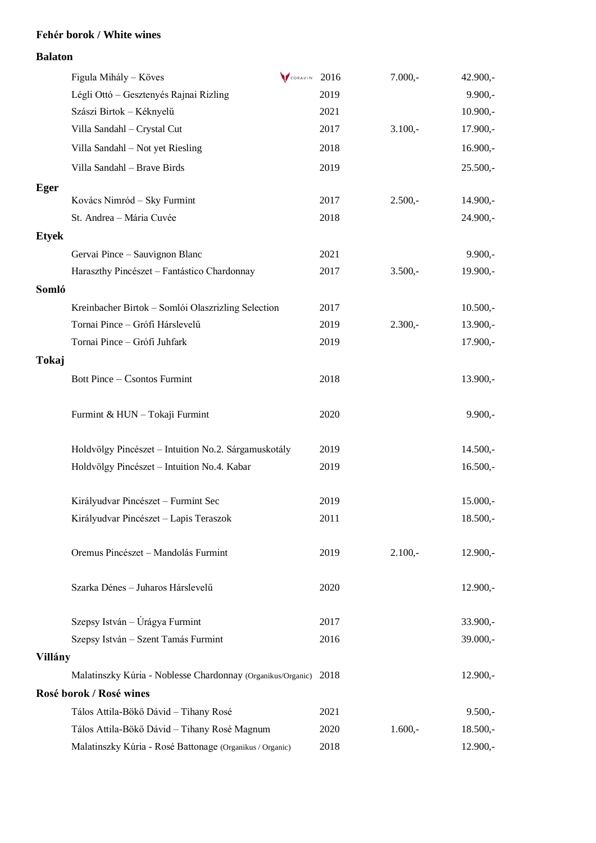### **Fehér borok / White wines**

#### **Balaton**

|              | Figula Mihály - Köves                                       | $\sqrt{\frac{1}{200 RAVIN}}$ 2016 |      | $7.000,-$ | $42.900,-$ |
|--------------|-------------------------------------------------------------|-----------------------------------|------|-----------|------------|
|              | Légli Ottó - Gesztenyés Rajnai Rizling                      |                                   | 2019 |           | $9.900,-$  |
|              | Szászi Birtok - Kéknyelű                                    |                                   | 2021 |           | $10.900,-$ |
|              | Villa Sandahl - Crystal Cut                                 |                                   | 2017 | $3.100,-$ | $17.900,-$ |
|              | Villa Sandahl - Not yet Riesling                            |                                   | 2018 |           | $16.900,-$ |
|              | Villa Sandahl - Brave Birds                                 |                                   | 2019 |           | $25.500,-$ |
| <b>Eger</b>  |                                                             |                                   |      |           |            |
|              | Kovács Nimród - Sky Furmint                                 |                                   | 2017 | $2.500,-$ | $14.900,-$ |
|              | St. Andrea - Mária Cuvée                                    |                                   | 2018 |           | $24.900,-$ |
| <b>Etyek</b> |                                                             |                                   |      |           |            |
|              | Gervai Pince - Sauvignon Blanc                              |                                   | 2021 |           | $9.900,-$  |
|              | Haraszthy Pincészet - Fantástico Chardonnay                 |                                   | 2017 | $3.500,-$ | 19.900,-   |
| Somló        |                                                             |                                   |      |           |            |
|              | Kreinbacher Birtok - Somlói Olaszrizling Selection          |                                   | 2017 |           | $10.500,-$ |
|              | Tornai Pince - Grófi Hárslevelű                             |                                   | 2019 | $2.300,-$ | $13.900,-$ |
|              | Tornai Pince - Grófi Juhfark                                |                                   | 2019 |           | $17.900,-$ |
| <b>Tokaj</b> |                                                             |                                   |      |           |            |
|              | Bott Pince - Csontos Furmint                                |                                   | 2018 |           | $13.900,-$ |
|              |                                                             |                                   |      |           |            |
|              | Furmint & HUN - Tokaji Furmint                              |                                   | 2020 |           | $9.900,-$  |
|              |                                                             |                                   |      |           |            |
|              | Holdvölgy Pincészet - Intuition No.2. Sárgamuskotály        |                                   | 2019 |           | $14.500,-$ |
|              | Holdvölgy Pincészet - Intuition No.4. Kabar                 |                                   | 2019 |           | $16.500,-$ |
|              |                                                             |                                   |      |           |            |
|              | Királyudvar Pincészet – Furmint Sec                         |                                   | 2019 |           | $15.000,-$ |
|              | Királyudvar Pincészet – Lapis Teraszok                      |                                   | 2011 |           | $18.500,-$ |
|              |                                                             |                                   |      |           |            |
|              | Oremus Pincészet – Mandolás Furmint                         |                                   | 2019 | $2.100,-$ | $12.900,-$ |
|              |                                                             |                                   |      |           |            |
|              | Szarka Dénes - Juharos Hárslevelű                           |                                   | 2020 |           | $12.900,-$ |
|              |                                                             |                                   |      |           |            |
|              | Szepsy István – Úrágya Furmint                              |                                   | 2017 |           | $33.900,-$ |
|              | Szepsy István – Szent Tamás Furmint                         |                                   | 2016 |           | 39.000,-   |
| Villány      |                                                             |                                   |      |           |            |
|              | Malatinszky Kúria - Noblesse Chardonnay (Organikus/Organic) |                                   | 2018 |           | $12.900,-$ |
|              | Rosé borok / Rosé wines                                     |                                   |      |           |            |
|              | Tálos Attila-Bökő Dávid - Tihany Rosé                       |                                   | 2021 |           | $9.500,-$  |
|              | Tálos Attila-Bökő Dávid - Tihany Rosé Magnum                |                                   | 2020 | $1.600,-$ | $18.500,-$ |
|              | Malatinszky Kúria - Rosé Battonage (Organikus / Organic)    |                                   | 2018 |           | $12.900,-$ |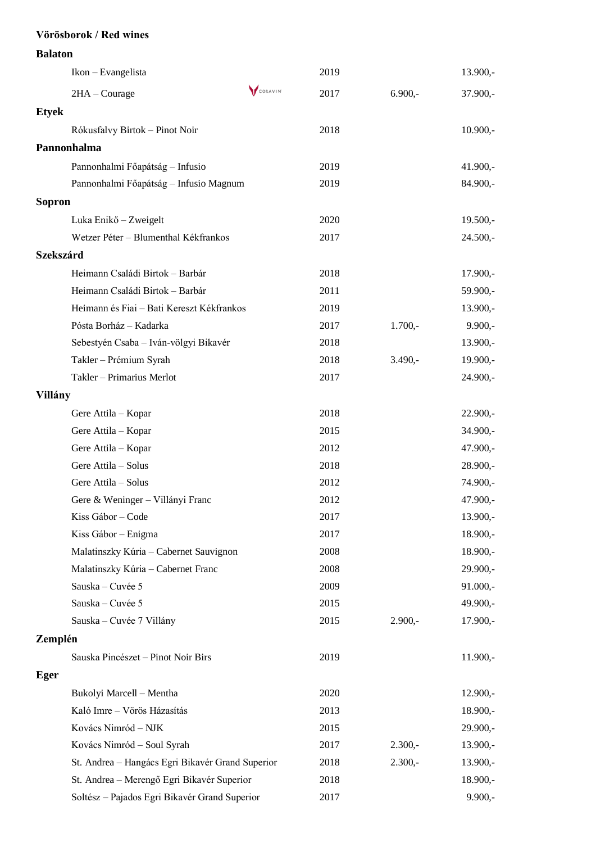# **Vörösborok / Red wines Balaton** Ikon – Evangelista 2019 13.900,-  $2HA - Conrage$   $\sqrt{conscript 2017}$  6.900,- 37.900,-**Etyek** Rókusfalvy Birtok – Pinot Noir 2018 10.900,- **Pannonhalma** Pannonhalmi Főapátság – Infusio 2019 41.900,- Pannonhalmi Főapátság – Infusio Magnum 2019 84.900,- **Sopron** Luka Enikő – Zweigelt 2020 2020 19.500,-Wetzer Péter – Blumenthal Kékfrankos 2017 24.500,-

#### **Szekszárd**

|         | Heimann Családi Birtok - Barbár                  | 2018 |           | 17.900,-   |
|---------|--------------------------------------------------|------|-----------|------------|
|         | Heimann Családi Birtok - Barbár                  | 2011 |           | 59.900,-   |
|         | Heimann és Fiai - Bati Kereszt Kékfrankos        | 2019 |           | $13.900,-$ |
|         | Pósta Borház - Kadarka                           | 2017 | $1.700,-$ | $9.900,-$  |
|         | Sebestyén Csaba - Iván-völgyi Bikavér            | 2018 |           | $13.900,-$ |
|         | Takler - Prémium Syrah                           | 2018 | $3.490 -$ | 19.900,-   |
|         | Takler - Primarius Merlot                        | 2017 |           | 24.900,-   |
| Villány |                                                  |      |           |            |
|         | Gere Attila - Kopar                              | 2018 |           | $22.900,-$ |
|         | Gere Attila - Kopar                              | 2015 |           | 34.900,-   |
|         | Gere Attila - Kopar                              | 2012 |           | 47.900,-   |
|         | Gere Attila - Solus                              | 2018 |           | $28.900,-$ |
|         | Gere Attila - Solus                              | 2012 |           | 74.900,-   |
|         | Gere & Weninger - Villányi Franc                 | 2012 |           | 47.900,-   |
|         | Kiss Gábor - Code                                | 2017 |           | $13.900,-$ |
|         | Kiss Gábor – Enigma                              | 2017 |           | $18.900,-$ |
|         | Malatinszky Kúria – Cabernet Sauvignon           | 2008 |           | $18.900,-$ |
|         | Malatinszky Kúria - Cabernet Franc               | 2008 |           | 29.900,-   |
|         | Sauska - Cuvée 5                                 | 2009 |           | 91.000,-   |
|         | Sauska - Cuvée 5                                 | 2015 |           | 49.900,-   |
|         | Sauska – Cuvée 7 Villány                         | 2015 | $2.900,-$ | $17.900,-$ |
| Zemplén |                                                  |      |           |            |
|         | Sauska Pincészet – Pinot Noir Birs               | 2019 |           | $11.900,-$ |
| Eger    |                                                  |      |           |            |
|         | Bukolyi Marcell - Mentha                         | 2020 |           | $12.900,-$ |
|         | Kaló Imre - Vörös Házasítás                      | 2013 |           | $18.900,-$ |
|         | Kovács Nimród - NJK                              | 2015 |           | 29.900,-   |
|         | Kovács Nimród - Soul Syrah                       | 2017 | $2.300,-$ | 13.900,-   |
|         | St. Andrea - Hangács Egri Bikavér Grand Superior | 2018 | $2.300,-$ | 13.900,-   |
|         | St. Andrea - Merengő Egri Bikavér Superior       | 2018 |           | 18.900,-   |
|         | Soltész - Pajados Egri Bikavér Grand Superior    | 2017 |           | $9.900,-$  |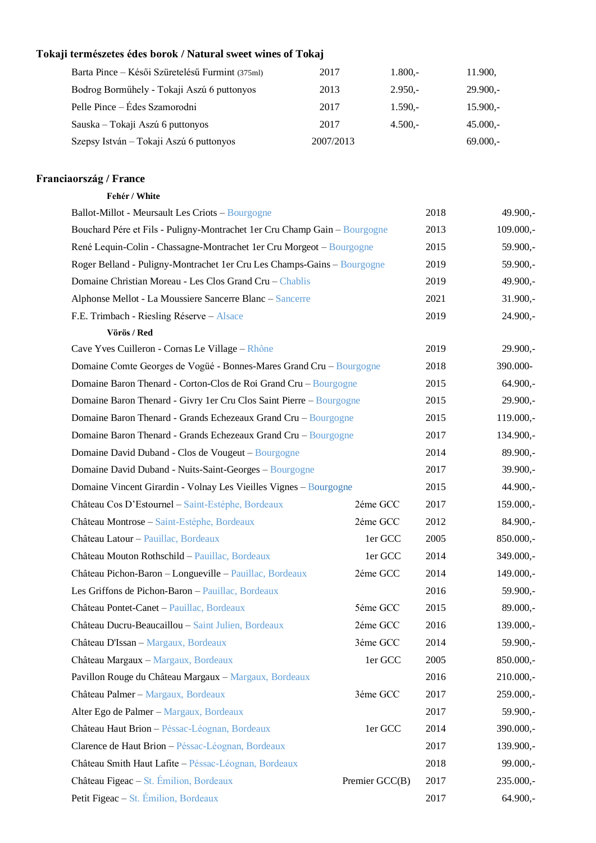## **Tokaji természetes édes borok / Natural sweet wines of Tokaj**

| Barta Pince – Késői Szüretelésű Furmint (375ml) | 2017      | $1.800 -$ | 11.900.    |
|-------------------------------------------------|-----------|-----------|------------|
| Bodrog Borműhely - Tokaji Aszú 6 puttonyos      | 2013      | $2.950 -$ | $29.900 -$ |
| Pelle Pince – Édes Szamorodni                   | 2017      | $1.590 -$ | $15.900 -$ |
| Sauska – Tokaji Aszú 6 puttonyos                | 2017      | $4.500 -$ | $45.000 -$ |
| Szepsy István – Tokaji Aszú 6 puttonyos         | 2007/2013 |           | $69.000 -$ |

## **Franciaország / France**

| Fehér / White |
|---------------|
|               |

| Ballot-Millot - Meursault Les Criots - Bourgogne                          |                | 2018 | 49.900,-    |
|---------------------------------------------------------------------------|----------------|------|-------------|
| Bouchard Pére et Fils - Puligny-Montrachet 1er Cru Champ Gain - Bourgogne |                | 2013 | $109.000,-$ |
| René Lequin-Colin - Chassagne-Montrachet 1er Cru Morgeot - Bourgogne      |                | 2015 | 59.900,-    |
| Roger Belland - Puligny-Montrachet 1er Cru Les Champs-Gains - Bourgogne   |                | 2019 | 59.900,-    |
| Domaine Christian Moreau - Les Clos Grand Cru - Chablis                   |                | 2019 | 49.900,-    |
| Alphonse Mellot - La Moussiere Sancerre Blanc - Sancerre                  |                | 2021 | $31.900,-$  |
| F.E. Trimbach - Riesling Réserve - Alsace                                 |                | 2019 | 24.900,-    |
| Vörös / Red                                                               |                |      |             |
| Cave Yves Cuilleron - Cornas Le Village - Rhône                           |                | 2019 | $29.900,-$  |
| Domaine Comte Georges de Vogüé - Bonnes-Mares Grand Cru – Bourgogne       |                | 2018 | 390.000-    |
| Domaine Baron Thenard - Corton-Clos de Roi Grand Cru - Bourgogne          |                | 2015 | $64.900,-$  |
| Domaine Baron Thenard - Givry 1er Cru Clos Saint Pierre - Bourgogne       |                | 2015 | 29.900,-    |
| Domaine Baron Thenard - Grands Echezeaux Grand Cru - Bourgogne            |                | 2015 | $119.000,-$ |
| Domaine Baron Thenard - Grands Echezeaux Grand Cru - Bourgogne            |                | 2017 | 134.900,-   |
| Domaine David Duband - Clos de Vougeut – Bourgogne                        |                | 2014 | 89.900,-    |
| Domaine David Duband - Nuits-Saint-Georges - Bourgogne                    |                |      | 39.900,-    |
| Domaine Vincent Girardin - Volnay Les Vieilles Vignes - Bourgogne         |                | 2015 | 44.900,-    |
| Château Cos D'Estournel - Saint-Estéphe, Bordeaux                         | 2éme GCC       | 2017 | 159.000,-   |
| Château Montrose - Saint-Estéphe, Bordeaux                                | 2éme GCC       | 2012 | 84.900,-    |
| Château Latour - Pauillac, Bordeaux                                       | 1er GCC        | 2005 | 850.000,-   |
| Château Mouton Rothschild - Pauillac, Bordeaux                            | 1er GCC        | 2014 | 349.000,-   |
| Château Pichon-Baron - Longueville - Pauillac, Bordeaux                   | 2éme GCC       | 2014 | 149.000,-   |
| Les Griffons de Pichon-Baron - Pauillac, Bordeaux                         |                | 2016 | 59.900,-    |
| Château Pontet-Canet - Pauillac, Bordeaux                                 | 5éme GCC       | 2015 | 89.000,-    |
| Château Ducru-Beaucaillou - Saint Julien, Bordeaux                        | 2éme GCC       | 2016 | 139.000,-   |
| Château D'Issan - Margaux, Bordeaux                                       | 3éme GCC       | 2014 | 59.900,-    |
| Château Margaux - Margaux, Bordeaux                                       | 1er GCC        | 2005 | 850.000,-   |
| Pavillon Rouge du Château Margaux - Margaux, Bordeaux                     |                | 2016 | $210.000,-$ |
| Château Palmer - Margaux, Bordeaux                                        | 3éme GCC       | 2017 | 259.000,-   |
| Alter Ego de Palmer - Margaux, Bordeaux                                   |                | 2017 | 59.900,-    |
| Château Haut Brion - Péssac-Léognan, Bordeaux                             | 1er GCC        | 2014 | 390.000,-   |
| Clarence de Haut Brion - Péssac-Léognan, Bordeaux                         |                | 2017 | 139.900,-   |
| Château Smith Haut Lafite - Péssac-Léognan, Bordeaux                      |                | 2018 | 99.000,-    |
| Château Figeac - St. Émilion, Bordeaux                                    | Premier GCC(B) | 2017 | 235.000,-   |
| Petit Figeac - St. Émilion, Bordeaux                                      |                | 2017 | $64.900,-$  |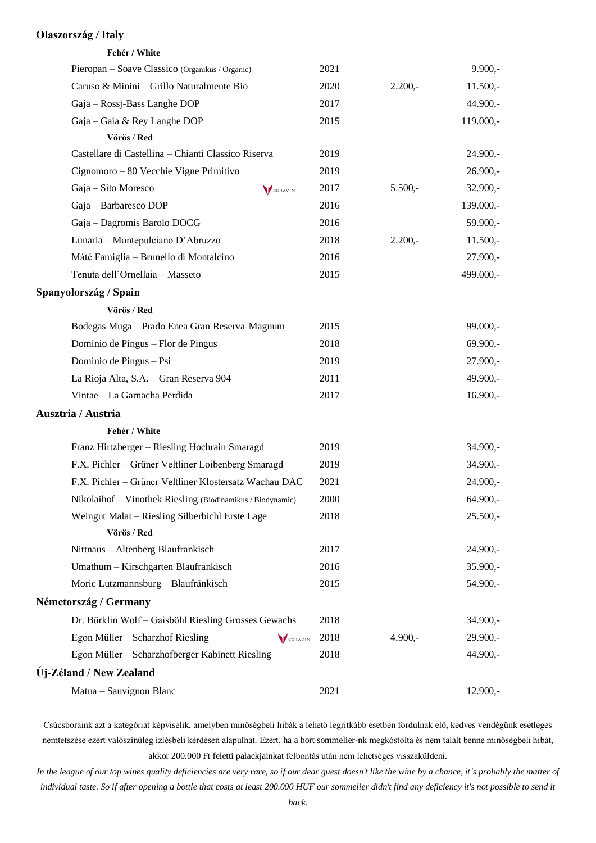#### **Olaszország / Italy**

| Fehér / White                                              |          |      |           |            |
|------------------------------------------------------------|----------|------|-----------|------------|
| Pieropan - Soave Classico (Organikus / Organic)            |          | 2021 |           | $9.900,-$  |
| Caruso & Minini - Grillo Naturalmente Bio                  |          | 2020 | $2.200,-$ | $11.500,-$ |
| Gaja – Rossj-Bass Langhe DOP                               |          | 2017 |           | 44.900,-   |
| Gaja – Gaia & Rey Langhe DOP                               |          | 2015 |           | 119.000,-  |
| Vörös / Red                                                |          |      |           |            |
| Castellare di Castellina - Chianti Classico Riserva        |          | 2019 |           | 24.900,-   |
| Cignomoro - 80 Vecchie Vigne Primitivo                     |          | 2019 |           | $26.900,-$ |
| Gaja - Sito Moresco                                        | CORAVINT | 2017 | $5.500,-$ | $32.900,-$ |
| Gaja - Barbaresco DOP                                      |          | 2016 |           | 139.000,-  |
| Gaja - Dagromis Barolo DOCG                                |          | 2016 |           | 59.900,-   |
| Lunaria - Montepulciano D'Abruzzo                          |          | 2018 | $2.200,-$ | $11.500,-$ |
| Máté Famiglia - Brunello di Montalcino                     |          | 2016 |           | 27.900,-   |
| Tenuta dell'Ornellaia - Masseto                            |          | 2015 |           | 499.000,-  |
| Spanyolország / Spain                                      |          |      |           |            |
| Vörös / Red                                                |          |      |           |            |
| Bodegas Muga - Prado Enea Gran Reserva Magnum              |          | 2015 |           | $99.000,-$ |
| Dominio de Pingus - Flor de Pingus                         |          | 2018 |           | $69.900,-$ |
| Dominio de Pingus - Psi                                    |          | 2019 |           | $27.900,-$ |
| La Rioja Alta, S.A. - Gran Reserva 904                     |          | 2011 |           | 49.900,-   |
| Vintae - La Garnacha Perdida                               |          | 2017 |           | $16.900,-$ |
| Ausztria / Austria                                         |          |      |           |            |
| Fehér / White                                              |          |      |           |            |
| Franz Hirtzberger - Riesling Hochrain Smaragd              |          | 2019 |           | $34.900 -$ |
| F.X. Pichler - Grüner Veltliner Loibenberg Smaragd         |          | 2019 |           | $34.900,-$ |
| F.X. Pichler - Grüner Veltliner Klostersatz Wachau DAC     |          | 2021 |           | 24.900,-   |
| Nikolaihof - Vinothek Riesling (Biodinamikus / Biodynamic) |          | 2000 |           | $64.900,-$ |
| Weingut Malat - Riesling Silberbichl Erste Lage            |          | 2018 |           | $25.500,-$ |
| Vörös / Red                                                |          |      |           |            |
| Nittnaus - Altenberg Blaufrankisch                         |          | 2017 |           | 24.900,-   |
| Umathum - Kirschgarten Blaufrankisch                       |          | 2016 |           | $35.900,-$ |
| Moric Lutzmannsburg - Blaufränkisch                        |          | 2015 |           | 54.900,-   |
| Németország / Germany                                      |          |      |           |            |
| Dr. Bürklin Wolf - Gaisböhl Riesling Grosses Gewachs       |          | 2018 |           | $34.900,-$ |
| Egon Müller – Scharzhof Riesling                           | CORAVINT | 2018 | $4.900,-$ | $29.900,-$ |
| Egon Müller - Scharzhofberger Kabinett Riesling            |          | 2018 |           | 44.900,-   |
| Új-Zéland / New Zealand                                    |          |      |           |            |
| Matua - Sauvignon Blanc                                    |          | 2021 |           | $12.900,-$ |

Csúcsboraink azt a kategóriát képviselik, amelyben minőségbeli hibák a lehető legritkább esetben fordulnak elő, kedves vendégünk esetleges nemtetszése ezért valószínűleg ízlésbeli kérdésen alapulhat. Ezért, ha a bort sommelier-nk megkóstolta és nem talált benne minőségbeli hibát, akkor 200.000 Ft feletti palackjainkat felbontás után nem lehetséges visszaküldeni.

*In the league of our top wines quality deficiencies are very rare, so if our dear guest doesn't like the wine by a chance, it's probably the matter of individual taste. So if after opening a bottle that costs at least 200.000 HUF our sommelier didn't find any deficiency it's not possible to send it*